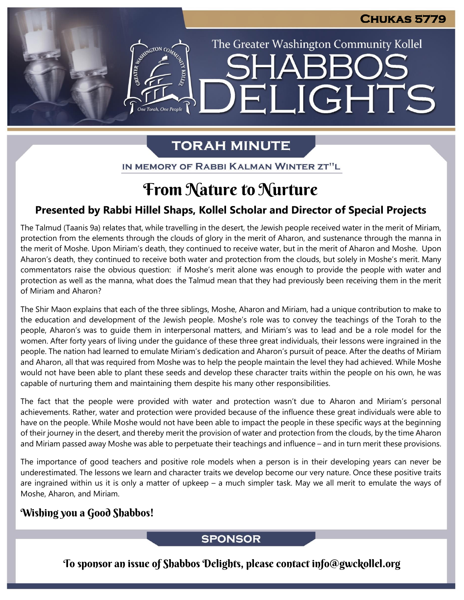The Greater Washington Community Kollel

ELIGHTS

# **TORAH MINUTE**

ASSEMBATON CO

IN MEMORY OF RABBI KALMAN WINTER ZT"L

# From Nature to Nurture

# **Presented by Rabbi Hillel Shaps, Kollel Scholar and Director of Special Projects**

The Talmud (Taanis 9a) relates that, while travelling in the desert, the Jewish people received water in the merit of Miriam, protection from the elements through the clouds of glory in the merit of Aharon, and sustenance through the manna in the merit of Moshe. Upon Miriam's death, they continued to receive water, but in the merit of Aharon and Moshe. Upon Aharon's death, they continued to receive both water and protection from the clouds, but solely in Moshe's merit. Many commentators raise the obvious question: if Moshe's merit alone was enough to provide the people with water and protection as well as the manna, what does the Talmud mean that they had previously been receiving them in the merit of Miriam and Aharon?

The Shir Maon explains that each of the three siblings, Moshe, Aharon and Miriam, had a unique contribution to make to the education and development of the Jewish people. Moshe's role was to convey the teachings of the Torah to the people, Aharon's was to guide them in interpersonal matters, and Miriam's was to lead and be a role model for the women. After forty years of living under the guidance of these three great individuals, their lessons were ingrained in the people. The nation had learned to emulate Miriam's dedication and Aharon's pursuit of peace. After the deaths of Miriam and Aharon, all that was required from Moshe was to help the people maintain the level they had achieved. While Moshe would not have been able to plant these seeds and develop these character traits within the people on his own, he was capable of nurturing them and maintaining them despite his many other responsibilities.

The fact that the people were provided with water and protection wasn't due to Aharon and Miriam's personal achievements. Rather, water and protection were provided because of the influence these great individuals were able to have on the people. While Moshe would not have been able to impact the people in these specific ways at the beginning of their journey in the desert, and thereby merit the provision of water and protection from the clouds, by the time Aharon and Miriam passed away Moshe was able to perpetuate their teachings and influence – and in turn merit these provisions.

The importance of good teachers and positive role models when a person is in their developing years can never be underestimated. The lessons we learn and character traits we develop become our very nature. Once these positive traits are ingrained within us it is only a matter of upkeep – a much simpler task. May we all merit to emulate the ways of Moshe, Aharon, and Miriam.

## Wishing you a Good Shabbos!

### **SPONSOR**

To sponsor an issue of Shabbos Delights, please contact info@gwckollel.org